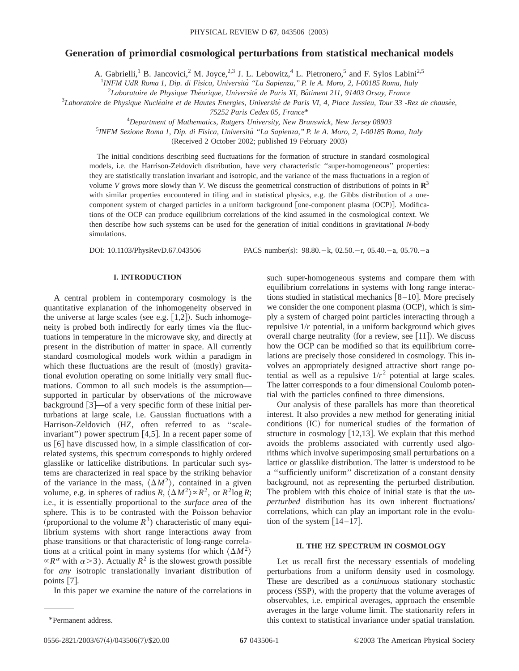# **Generation of primordial cosmological perturbations from statistical mechanical models**

A. Gabrielli,<sup>1</sup> B. Jancovici,<sup>2</sup> M. Joyce,<sup>2,3</sup> J. L. Lebowitz,<sup>4</sup> L. Pietronero,<sup>5</sup> and F. Sylos Labini<sup>2,5</sup>

1 *INFM UdR Roma 1, Dip. di Fisica, Universita` ''La Sapienza,'' P. le A. Moro, 2, I-00185 Roma, Italy*

2 *Laboratoire de Physique The´orique, Universite´ de Paris XI, Baˆtiment 211, 91403 Orsay, France*

<sup>3</sup>Laboratoire de Physique Nucléaire et de Hautes Energies, Université de Paris VI, 4, Place Jussieu, Tour 33 -Rez de chausée,

*75252 Paris Cedex 05, France*\*

4 *Department of Mathematics, Rutgers University, New Brunswick, New Jersey 08903*

5 *INFM Sezione Roma 1, Dip. di Fisica, Universita` ''La Sapienza,'' P. le A. Moro, 2, I-00185 Roma, Italy*

(Received 2 October 2002; published 19 February 2003)

The initial conditions describing seed fluctuations for the formation of structure in standard cosmological models, i.e. the Harrison-Zeldovich distribution, have very characteristic ''super-homogeneous'' properties: they are statistically translation invariant and isotropic, and the variance of the mass fluctuations in a region of volume *V* grows more slowly than *V*. We discuss the geometrical construction of distributions of points in **R**<sup>3</sup> with similar properties encountered in tiling and in statistical physics, e.g. the Gibbs distribution of a onecomponent system of charged particles in a uniform background [one-component plasma (OCP)]. Modifications of the OCP can produce equilibrium correlations of the kind assumed in the cosmological context. We then describe how such systems can be used for the generation of initial conditions in gravitational *N*-body simulations.

DOI: 10.1103/PhysRevD.67.043506 PACS number(s):  $98.80 - k$ , 02.50. - r, 05.40. - a, 05.70. - a

#### **I. INTRODUCTION**

A central problem in contemporary cosmology is the quantitative explanation of the inhomogeneity observed in the universe at large scales (see e.g.  $[1,2]$ ). Such inhomogeneity is probed both indirectly for early times via the fluctuations in temperature in the microwave sky, and directly at present in the distribution of matter in space. All currently standard cosmological models work within a paradigm in which these fluctuations are the result of (mostly) gravitational evolution operating on some initially very small fluctuations. Common to all such models is the assumption supported in particular by observations of the microwave background [3]—of a very specific form of these initial perturbations at large scale, i.e. Gaussian fluctuations with a Harrison-Zeldovich (HZ, often referred to as "scaleinvariant") power spectrum [4,5]. In a recent paper some of us  $[6]$  have discussed how, in a simple classification of correlated systems, this spectrum corresponds to highly ordered glasslike or latticelike distributions. In particular such systems are characterized in real space by the striking behavior of the variance in the mass,  $\langle \Delta M^2 \rangle$ , contained in a given volume, e.g. in spheres of radius  $R$ ,  $\langle \Delta M^2 \rangle \propto R^2$ , or  $R^2 \log R$ ; i.e., it is essentially proportional to the *surface area* of the sphere. This is to be contrasted with the Poisson behavior (proportional to the volume  $R<sup>3</sup>$ ) characteristic of many equilibrium systems with short range interactions away from phase transitions or that characteristic of long-range correlations at a critical point in many systems (for which  $\langle \Delta M^2 \rangle$  $\propto$ *R*<sup> $\alpha$ </sup> with  $\alpha$  > 3). Actually *R*<sup>2</sup> is the slowest growth possible for *any* isotropic translationally invariant distribution of points  $[7]$ .

In this paper we examine the nature of the correlations in

such super-homogeneous systems and compare them with equilibrium correlations in systems with long range interactions studied in statistical mechanics  $[8-10]$ . More precisely we consider the one component plasma  $(OCP)$ , which is simply a system of charged point particles interacting through a repulsive 1/*r* potential, in a uniform background which gives overall charge neutrality (for a review, see  $[11]$ ). We discuss how the OCP can be modified so that its equilibrium correlations are precisely those considered in cosmology. This involves an appropriately designed attractive short range potential as well as a repulsive  $1/r^2$  potential at large scales. The latter corresponds to a four dimensional Coulomb potential with the particles confined to three dimensions.

Our analysis of these parallels has more than theoretical interest. It also provides a new method for generating initial conditions (IC) for numerical studies of the formation of structure in cosmology  $[12,13]$ . We explain that this method avoids the problems associated with currently used algorithms which involve superimposing small perturbations on a lattice or glasslike distribution. The latter is understood to be a ''sufficiently uniform'' discretization of a constant density background, not as representing the perturbed distribution. The problem with this choice of initial state is that the *unperturbed* distribution has its own inherent fluctuations/ correlations, which can play an important role in the evolution of the system  $[14 - 17]$ .

## **II. THE HZ SPECTRUM IN COSMOLOGY**

Let us recall first the necessary essentials of modeling perturbations from a uniform density used in cosmology. These are described as a *continuous* stationary stochastic process (SSP), with the property that the volume averages of observables, i.e. empirical averages, approach the ensemble averages in the large volume limit. The stationarity refers in \*Permanent address. this context to statistical invariance under spatial translation.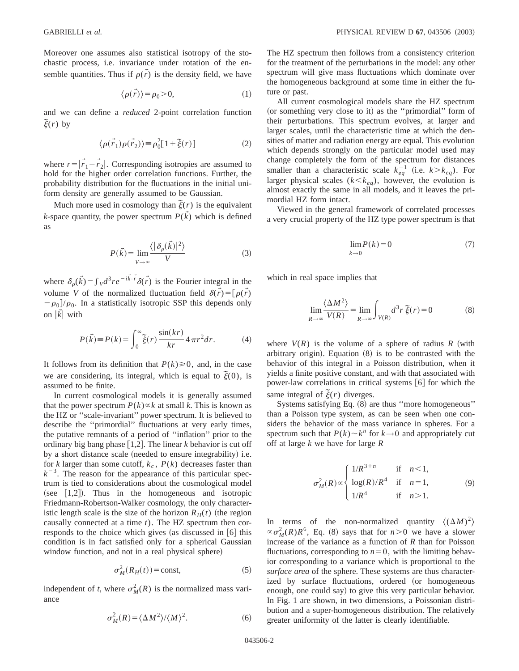Moreover one assumes also statistical isotropy of the stochastic process, i.e. invariance under rotation of the ensemble quantities. Thus if  $\rho(\vec{r})$  is the density field, we have

$$
\langle \rho(\vec{r}) \rangle = \rho_0 > 0,\tag{1}
$$

and we can define a *reduced* 2-point correlation function  $\tilde{\xi}(r)$  by

$$
\langle \rho(\vec{r}_1)\rho(\vec{r}_2) \rangle \equiv \rho_0^2 [1 + \tilde{\xi}(r)] \tag{2}
$$

where  $r = |\vec{r}_1 - \vec{r}_2|$ . Corresponding isotropies are assumed to hold for the higher order correlation functions. Further, the probability distribution for the fluctuations in the initial uniform density are generally assumed to be Gaussian.

Much more used in cosmology than  $\tilde{\xi}(r)$  is the equivalent *k*-space quantity, the power spectrum  $P(\vec{k})$  which is defined as

$$
P(\vec{k}) = \lim_{V \to \infty} \frac{\langle |\delta_{\rho}(\vec{k})|^2 \rangle}{V}
$$
 (3)

where  $\delta_{\rho}(\vec{k}) = \int V d^3r e^{-i\vec{k}\cdot\vec{r}} \delta(\vec{r})$  is the Fourier integral in the volume *V* of the normalized fluctuation field  $\delta(\vec{r}) = [\rho(\vec{r})$  $-\rho_0$ / $\rho_0$ . In a statistically isotropic SSP this depends only on  $|\vec{k}|$  with

$$
P(\vec{k}) \equiv P(k) = \int_0^\infty \tilde{\xi}(r) \frac{\sin(kr)}{kr} 4\pi r^2 dr.
$$
 (4)

It follows from its definition that  $P(k) \ge 0$ , and, in the case we are considering, its integral, which is equal to  $\tilde{\xi}(0)$ , is assumed to be finite.

In current cosmological models it is generally assumed that the power spectrum  $P(k) \propto k$  at small *k*. This is known as the HZ or ''scale-invariant'' power spectrum. It is believed to describe the ''primordial'' fluctuations at very early times, the putative remnants of a period of ''inflation'' prior to the ordinary big bang phase  $[1,2]$ . The linear *k* behavior is cut off by a short distance scale (needed to ensure integrability) i.e. for *k* larger than some cutoff,  $k_c$ ,  $P(k)$  decreases faster than  $k^{-3}$ . The reason for the appearance of this particular spectrum is tied to considerations about the cosmological model (see  $[1,2]$ ). Thus in the homogeneous and isotropic Friedmann-Robertson-Walker cosmology, the only characteristic length scale is the size of the horizon  $R_H(t)$  (the region causally connected at a time *t*). The HZ spectrum then corresponds to the choice which gives (as discussed in  $[6]$  this condition is in fact satisfied only for a spherical Gaussian window function, and not in a real physical sphere)

$$
\sigma_M^2(R_H(t)) = \text{const},\tag{5}
$$

independent of *t*, where  $\sigma_M^2(R)$  is the normalized mass variance

The HZ spectrum then follows from a consistency criterion for the treatment of the perturbations in the model: any other spectrum will give mass fluctuations which dominate over the homogeneous background at some time in either the future or past.

All current cosmological models share the HZ spectrum (or something very close to it) as the "primordial" form of their perturbations. This spectrum evolves, at larger and larger scales, until the characteristic time at which the densities of matter and radiation energy are equal. This evolution which depends strongly on the particular model used may change completely the form of the spectrum for distances smaller than a characteristic scale  $k_{eq}^{-1}$  (i.e.  $k > k_{eq}$ ). For larger physical scales  $(k < k_{eq})$ , however, the evolution is almost exactly the same in all models, and it leaves the primordial HZ form intact.

Viewed in the general framework of correlated processes a very crucial property of the HZ type power spectrum is that

$$
\lim_{k \to 0} P(k) = 0 \tag{7}
$$

which in real space implies that

$$
\lim_{R \to \infty} \frac{\langle \Delta M^2 \rangle}{V(R)} = \lim_{R \to \infty} \int_{V(R)} d^3 r \, \xi(r) = 0 \tag{8}
$$

where  $V(R)$  is the volume of a sphere of radius  $R$  (with arbitrary origin). Equation  $(8)$  is to be contrasted with the behavior of this integral in a Poisson distribution, when it yields a finite positive constant, and with that associated with power-law correlations in critical systems  $[6]$  for which the same integral of  $\tilde{\xi}(r)$  diverges.

Systems satisfying Eq.  $(8)$  are thus "more homogeneous" than a Poisson type system, as can be seen when one considers the behavior of the mass variance in spheres. For a spectrum such that  $P(k) \sim k^n$  for  $k \to 0$  and appropriately cut off at large *k* we have for large *R*

$$
\sigma_M^2(R) \propto \begin{cases} 1/R^{3+n} & \text{if } n < 1, \\ \log(R)/R^4 & \text{if } n = 1, \\ 1/R^4 & \text{if } n > 1. \end{cases}
$$
 (9)

In terms of the non-normalized quantity  $\langle (\Delta M)^2 \rangle$  $\propto \sigma_M^2(R)R^6$ , Eq. (8) says that for  $n>0$  we have a slower increase of the variance as a function of *R* than for Poisson fluctuations, corresponding to  $n=0$ , with the limiting behavior corresponding to a variance which is proportional to the *surface area* of the sphere. These systems are thus characterized by surface fluctuations, ordered (or homogeneous enough, one could say) to give this very particular behavior. In Fig. 1 are shown, in two dimensions, a Poissonian distribution and a super-homogeneous distribution. The relatively greater uniformity of the latter is clearly identifiable.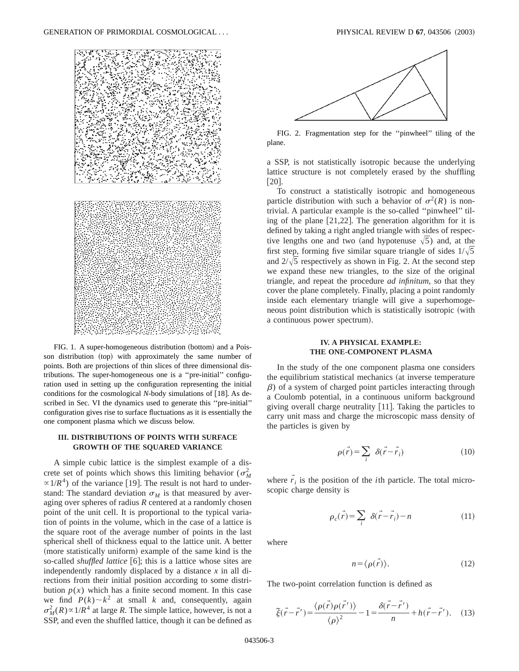

FIG. 1. A super-homogeneous distribution (bottom) and a Poisson distribution (top) with approximately the same number of points. Both are projections of thin slices of three dimensional distributions. The super-homogeneous one is a ''pre-initial'' configuration used in setting up the configuration representing the initial conditions for the cosmological *N*-body simulations of [18]. As described in Sec. VI the dynamics used to generate this ''pre-initial'' configuration gives rise to surface fluctuations as it is essentially the one component plasma which we discuss below.

# **III. DISTRIBUTIONS OF POINTS WITH SURFACE GROWTH OF THE SQUARED VARIANCE**

A simple cubic lattice is the simplest example of a discrete set of points which shows this limiting behavior ( $\sigma_M^2$ )  $\propto 1/R^4$ ) of the variance [19]. The result is not hard to understand: The standard deviation  $\sigma_M$  is that measured by averaging over spheres of radius *R* centered at a randomly chosen point of the unit cell. It is proportional to the typical variation of points in the volume, which in the case of a lattice is the square root of the average number of points in the last spherical shell of thickness equal to the lattice unit. A better (more statistically uniform) example of the same kind is the so-called *shuffled lattice* [6]; this is a lattice whose sites are independently randomly displaced by a distance *x* in all directions from their initial position according to some distribution  $p(x)$  which has a finite second moment. In this case we find  $P(k) \sim k^2$  at small *k* and, consequently, again  $\sigma_M^2(R) \propto 1/R^4$  at large *R*. The simple lattice, however, is not a SSP, and even the shuffled lattice, though it can be defined as



FIG. 2. Fragmentation step for the ''pinwheel'' tiling of the plane.

a SSP, is not statistically isotropic because the underlying lattice structure is not completely erased by the shuffling  $\lceil 20 \rceil$ .

To construct a statistically isotropic and homogeneous particle distribution with such a behavior of  $\sigma^2(R)$  is nontrivial. A particular example is the so-called ''pinwheel'' tiling of the plane  $[21,22]$ . The generation algorithm for it is defined by taking a right angled triangle with sides of respective lengths one and two (and hypotenuse  $\sqrt{5}$ ) and, at the first step, forming five similar square triangle of sides  $1/\sqrt{5}$ and  $2/\sqrt{5}$  respectively as shown in Fig. 2. At the second step we expand these new triangles, to the size of the original triangle, and repeat the procedure *ad infinitum*, so that they cover the plane completely. Finally, placing a point randomly inside each elementary triangle will give a superhomogeneous point distribution which is statistically isotropic (with a continuous power spectrum).

## **IV. A PHYSICAL EXAMPLE: THE ONE-COMPONENT PLASMA**

In the study of the one component plasma one considers the equilibrium statistical mechanics (at inverse temperature  $\beta$ ) of a system of charged point particles interacting through a Coulomb potential, in a continuous uniform background giving overall charge neutrality  $[11]$ . Taking the particles to carry unit mass and charge the microscopic mass density of the particles is given by

$$
\rho(\vec{r}) = \sum_{i} \delta(\vec{r} - \vec{r}_{i})
$$
\n(10)

where  $\vec{r}_i$  is the position of the *i*th particle. The total microscopic charge density is

$$
\rho_c(\vec{r}) = \sum_i \delta(\vec{r} - \vec{r}_i) - n \tag{11}
$$

where

$$
n = \langle \rho(\vec{r}) \rangle. \tag{12}
$$

The two-point correlation function is defined as

$$
\tilde{\xi}(\vec{r} - \vec{r}') = \frac{\langle \rho(\vec{r})\rho(\vec{r}') \rangle}{\langle \rho \rangle^2} - 1 = \frac{\delta(\vec{r} - \vec{r}')}{n} + h(\vec{r} - \vec{r}'). \tag{13}
$$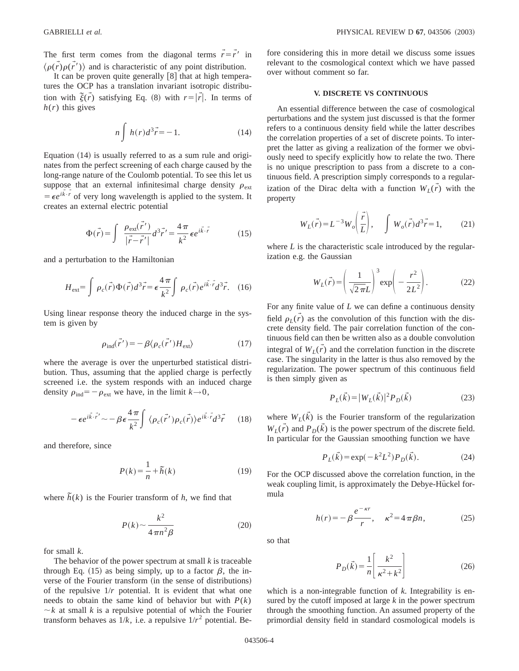The first term comes from the diagonal terms  $\vec{r} = \vec{r'}$  in  $\langle \rho(\vec{r})\rho(\vec{r}')\rangle$  and is characteristic of any point distribution.

It can be proven quite generally  $[8]$  that at high temperatures the OCP has a translation invariant isotropic distribution with  $\tilde{\xi}(\vec{r})$  satisfying Eq. (8) with  $r = |\vec{r}|$ . In terms of  $h(r)$  this gives

$$
n\int h(r)d^3\vec{r} = -1.
$$
 (14)

Equation  $(14)$  is usually referred to as a sum rule and originates from the perfect screening of each charge caused by the long-range nature of the Coulomb potential. To see this let us suppose that an external infinitesimal charge density  $\rho_{\text{ext}}$  $= \epsilon e^{i\vec{k} \cdot \vec{r}}$  of very long wavelength is applied to the system. It creates an external electric potential

$$
\Phi(\vec{r}) = \int \frac{\rho_{\text{ext}}(\vec{r}')}{|\vec{r} - \vec{r}'|} d^3 \vec{r}' = \frac{4\pi}{k^2} \epsilon e^{i\vec{k}\cdot\vec{r}} \tag{15}
$$

and a perturbation to the Hamiltonian

$$
H_{\text{ext}} = \int \rho_c(\vec{r}) \Phi(\vec{r}) d^3 \vec{r} = \epsilon \frac{4\pi}{k^2} \int \rho_c(\vec{r}) e^{i\vec{k} \cdot \vec{r}} d^3 \vec{r}.
$$
 (16)

Using linear response theory the induced charge in the system is given by

$$
\rho_{\text{ind}}(\vec{r}') = -\beta \langle \rho_c(\vec{r}') H_{\text{ext}} \rangle \tag{17}
$$

where the average is over the unperturbed statistical distribution. Thus, assuming that the applied charge is perfectly screened i.e. the system responds with an induced charge density  $\rho_{ind} = -\rho_{ext}$  we have, in the limit  $k \rightarrow 0$ ,

$$
-\epsilon e^{i\vec{k}\cdot\vec{r}'} \sim -\beta \epsilon \frac{4\pi}{k^2} \int \langle \rho_c(\vec{r'}) \rho_c(\vec{r}) \rangle e^{i\vec{k}\cdot\vec{r}} d^3\vec{r} \qquad (18)
$$

and therefore, since

$$
P(k) = \frac{1}{n} + \tilde{h}(k)
$$
 (19)

where  $\tilde{h}(k)$  is the Fourier transform of *h*, we find that

$$
P(k) \sim \frac{k^2}{4\pi n^2 \beta} \tag{20}
$$

for small *k*.

The behavior of the power spectrum at small *k* is traceable through Eq. (15) as being simply, up to a factor  $\beta$ , the inverse of the Fourier transform (in the sense of distributions) of the repulsive 1/*r* potential. It is evident that what one needs to obtain the same kind of behavior but with  $P(k)$  $\sim k$  at small *k* is a repulsive potential of which the Fourier transform behaves as  $1/k$ , i.e. a repulsive  $1/r^2$  potential. Before considering this in more detail we discuss some issues relevant to the cosmological context which we have passed over without comment so far.

## **V. DISCRETE VS CONTINUOUS**

An essential difference between the case of cosmological perturbations and the system just discussed is that the former refers to a continuous density field while the latter describes the correlation properties of a set of discrete points. To interpret the latter as giving a realization of the former we obviously need to specify explicitly how to relate the two. There is no unique prescription to pass from a discrete to a continuous field. A prescription simply corresponds to a regularization of the Dirac delta with a function  $W_L(\vec{r})$  with the property

$$
W_L(\vec{r}) = L^{-3} W_o\left(\frac{\vec{r}}{L}\right), \quad \int W_o(\vec{r}) d^3 \vec{r} = 1,
$$
 (21)

where *L* is the characteristic scale introduced by the regularization e.g. the Gaussian

$$
W_L(\vec{r}) = \left(\frac{1}{\sqrt{2\pi}L}\right)^3 \exp\left(-\frac{r^2}{2L^2}\right).
$$
 (22)

For any finite value of *L* we can define a continuous density field  $\rho_L(\vec{r})$  as the convolution of this function with the discrete density field. The pair correlation function of the continuous field can then be written also as a double convolution integral of  $W_L(\vec{r})$  and the correlation function in the discrete case. The singularity in the latter is thus also removed by the regularization. The power spectrum of this continuous field is then simply given as

$$
P_L(\vec{k}) = |W_L(\vec{k})|^2 P_D(\vec{k})
$$
\n(23)

where  $W_L(\vec{k})$  is the Fourier transform of the regularization  $W_L(\vec{r})$  and  $P_D(\vec{k})$  is the power spectrum of the discrete field. In particular for the Gaussian smoothing function we have

$$
P_L(\vec{k}) = \exp(-k^2 L^2) P_D(\vec{k}).
$$
 (24)

For the OCP discussed above the correlation function, in the weak coupling limit, is approximately the Debye-Hückel formula

$$
h(r) = -\beta \frac{e^{-\kappa r}}{r}, \quad \kappa^2 = 4\pi \beta n, \tag{25}
$$

so that

$$
P_D(\vec{k}) = \frac{1}{n} \left[ \frac{k^2}{\kappa^2 + k^2} \right] \tag{26}
$$

which is a non-integrable function of *k*. Integrability is ensured by the cutoff imposed at large *k* in the power spectrum through the smoothing function. An assumed property of the primordial density field in standard cosmological models is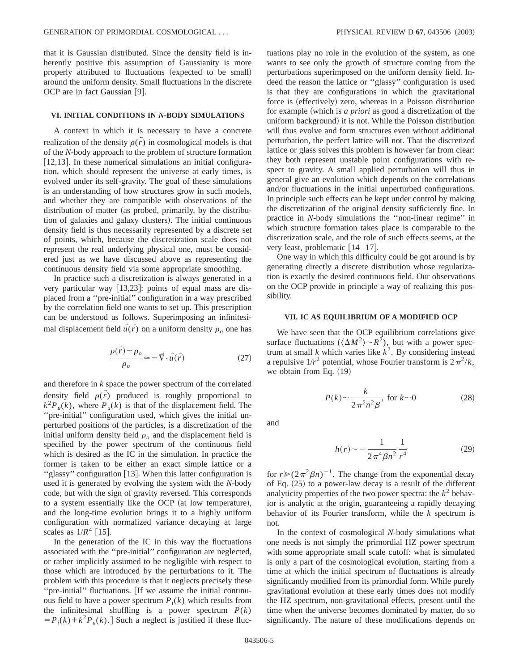that it is Gaussian distributed. Since the density field is inherently positive this assumption of Gaussianity is more properly attributed to fluctuations (expected to be small) around the uniform density. Small fluctuations in the discrete OCP are in fact Gaussian [9].

## **VI. INITIAL CONDITIONS IN** *N***-BODY SIMULATIONS**

A context in which it is necessary to have a concrete realization of the density  $\rho(\vec{r})$  in cosmological models is that of the *N*-body approach to the problem of structure formation  $[12,13]$ . In these numerical simulations an initial configuration, which should represent the universe at early times, is evolved under its self-gravity. The goal of these simulations is an understanding of how structures grow in such models, and whether they are compatible with observations of the distribution of matter (as probed, primarily, by the distribution of galaxies and galaxy clusters). The initial continuous density field is thus necessarily represented by a discrete set of points, which, because the discretization scale does not represent the real underlying physical one, must be considered just as we have discussed above as representing the continuous density field via some appropriate smoothing.

In practice such a discretization is always generated in a very particular way  $[13,23]$ : points of equal mass are displaced from a ''pre-initial'' configuration in a way prescribed by the correlation field one wants to set up. This prescription can be understood as follows. Superimposing an infinitesimal displacement field  $\vec{u}(\vec{r})$  on a uniform density  $\rho_o$  one has

$$
\frac{\rho(\vec{r}) - \rho_o}{\rho_o} \simeq -\vec{\nabla} \cdot \vec{u}(\vec{r})
$$
\n(27)

and therefore in *k* space the power spectrum of the correlated density field  $\rho(r)$  produced is roughly proportional to  $k^2 P_u(k)$ , where  $P_u(k)$  is that of the displacement field. The "pre-initial" configuration used, which gives the initial unperturbed positions of the particles, is a discretization of the initial uniform density field  $\rho$ <sub>o</sub> and the displacement field is specified by the power spectrum of the continuous field which is desired as the IC in the simulation. In practice the former is taken to be either an exact simple lattice or a "glassy" configuration [13]. When this latter configuration is used it is generated by evolving the system with the *N*-body code, but with the sign of gravity reversed. This corresponds to a system essentially like the OCP (at low temperature), and the long-time evolution brings it to a highly uniform configuration with normalized variance decaying at large scales as  $1/R<sup>4</sup>$  [15].

In the generation of the IC in this way the fluctuations associated with the ''pre-initial'' configuration are neglected, or rather implicitly assumed to be negligible with respect to those which are introduced by the perturbations to it. The problem with this procedure is that it neglects precisely these "pre-initial" fluctuations. [If we assume the initial continuous field to have a power spectrum  $P_i(k)$  which results from the infinitesimal shuffling is a power spectrum  $P(k)$  $= P_i(k) + k^2 P_{ii}(k)$ . Such a neglect is justified if these fluctuations play no role in the evolution of the system, as one wants to see only the growth of structure coming from the perturbations superimposed on the uniform density field. Indeed the reason the lattice or ''glassy'' configuration is used is that they are configurations in which the gravitational force is (effectively) zero, whereas in a Poisson distribution for example (which is *a priori* as good a discretization of the uniform background) it is not. While the Poisson distribution will thus evolve and form structures even without additional perturbation, the perfect lattice will not. That the discretized lattice or glass solves this problem is however far from clear: they both represent unstable point configurations with respect to gravity. A small applied perturbation will thus in general give an evolution which depends on the correlations and/or fluctuations in the initial unperturbed configurations. In principle such effects can be kept under control by making the discretization of the original density sufficiently fine. In practice in *N*-body simulations the ''non-linear regime'' in which structure formation takes place is comparable to the discretization scale, and the role of such effects seems, at the very least, problematic  $\lfloor 14 - 17 \rfloor$ .

One way in which this difficulty could be got around is by generating directly a discrete distribution whose regularization is exactly the desired continuous field. Our observations on the OCP provide in principle a way of realizing this possibility.

## **VII. IC AS EQUILIBRIUM OF A MODIFIED OCP**

We have seen that the OCP equilibrium correlations give surface fluctuations ( $\langle \Delta M^2 \rangle \sim R^2$ ), but with a power spectrum at small *k* which varies like  $k^2$ . By considering instead a repulsive  $1/r^2$  potential, whose Fourier transform is  $2\pi^2/k$ , we obtain from Eq.  $(19)$ 

$$
P(k) \sim \frac{k}{2\pi^2 n^2 \beta}, \text{ for } k \sim 0 \tag{28}
$$

and

$$
h(r) \sim -\frac{1}{2\pi^4 \beta n^2} \frac{1}{r^4} \tag{29}
$$

for  $r \ge (2\pi^2 \beta n)^{-1}$ . The change from the exponential decay of Eq.  $(25)$  to a power-law decay is a result of the different analyticity properties of the two power spectra: the  $k^2$  behavior is analytic at the origin, guaranteeing a rapidly decaying behavior of its Fourier transform, while the *k* spectrum is not.

In the context of cosmological *N*-body simulations what one needs is not simply the primordial HZ power spectrum with some appropriate small scale cutoff: what is simulated is only a part of the cosmological evolution, starting from a time at which the initial spectrum of fluctuations is already significantly modified from its primordial form. While purely gravitational evolution at these early times does not modify the HZ spectrum, non-gravitational effects, present until the time when the universe becomes dominated by matter, do so significantly. The nature of these modifications depends on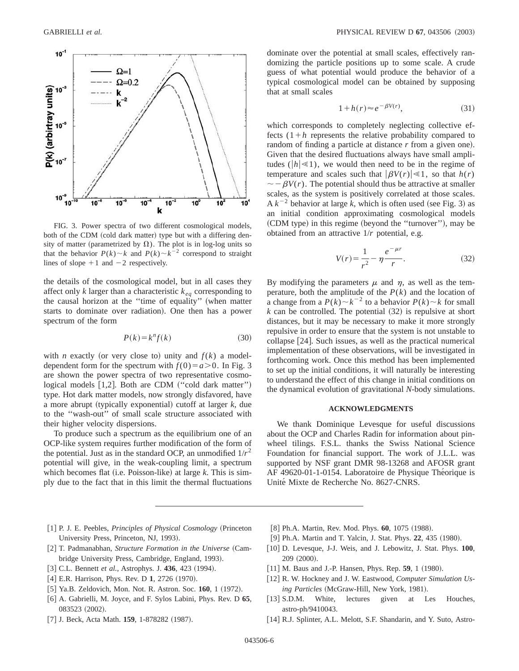

FIG. 3. Power spectra of two different cosmological models, both of the CDM (cold dark matter) type but with a differing density of matter (parametrized by  $\Omega$ ). The plot is in log-log units so that the behavior  $P(k) \sim k$  and  $P(k) \sim k^{-2}$  correspond to straight lines of slope  $+1$  and  $-2$  respectively.

the details of the cosmological model, but in all cases they affect only  $k$  larger than a characteristic  $k_{eq}$  corresponding to the causal horizon at the "time of equality" (when matter starts to dominate over radiation). One then has a power spectrum of the form

$$
P(k) = k^n f(k) \tag{30}
$$

with *n* exactly (or very close to) unity and  $f(k)$  a modeldependent form for the spectrum with  $f(0) = a > 0$ . In Fig. 3 are shown the power spectra of two representative cosmological models  $[1,2]$ . Both are CDM  $("cold dark matter")$ type. Hot dark matter models, now strongly disfavored, have a more abrupt (typically exponential) cutoff at larger  $k$ , due to the ''wash-out'' of small scale structure associated with their higher velocity dispersions.

To produce such a spectrum as the equilibrium one of an OCP-like system requires further modification of the form of the potential. Just as in the standard OCP, an unmodified  $1/r^2$ potential will give, in the weak-coupling limit, a spectrum which becomes flat (i.e. Poisson-like) at large  $k$ . This is simply due to the fact that in this limit the thermal fluctuations

dominate over the potential at small scales, effectively randomizing the particle positions up to some scale. A crude guess of what potential would produce the behavior of a typical cosmological model can be obtained by supposing that at small scales

$$
1 + h(r) \approx e^{-\beta V(r)},\tag{31}
$$

which corresponds to completely neglecting collective effects  $(1+h)$  represents the relative probability compared to random of finding a particle at distance *r* from a given one). Given that the desired fluctuations always have small amplitudes ( $|h| \le 1$ ), we would then need to be in the regime of temperature and scales such that  $|\beta V(r)| \ll 1$ , so that  $h(r)$  $\sim -\beta V(r)$ . The potential should thus be attractive at smaller scales, as the system is positively correlated at those scales.  $Ak^{-2}$  behavior at large k, which is often used (see Fig. 3) as an initial condition approximating cosmological models (CDM type) in this regime (beyond the "turnover"), may be obtained from an attractive 1/*r* potential, e.g.

$$
V(r) = \frac{1}{r^2} - \eta \frac{e^{-\mu r}}{r}.
$$
 (32)

By modifying the parameters  $\mu$  and  $\eta$ , as well as the temperature, both the amplitude of the  $P(k)$  and the location of a change from a  $P(k) \sim k^{-2}$  to a behavior  $P(k) \sim k$  for small  $k$  can be controlled. The potential  $(32)$  is repulsive at short distances, but it may be necessary to make it more strongly repulsive in order to ensure that the system is not unstable to collapse  $[24]$ . Such issues, as well as the practical numerical implementation of these observations, will be investigated in forthcoming work. Once this method has been implemented to set up the initial conditions, it will naturally be interesting to understand the effect of this change in initial conditions on the dynamical evolution of gravitational *N*-body simulations.

#### **ACKNOWLEDGMENTS**

We thank Dominique Levesque for useful discussions about the OCP and Charles Radin for information about pinwheel tilings. F.S.L. thanks the Swiss National Science Foundation for financial support. The work of J.L.L. was supported by NSF grant DMR 98-13268 and AFOSR grant AF 49620-01-1-0154. Laboratoire de Physique Théorique is Unité Mixte de Recherche No. 8627-CNRS.

- [1] P. J. E. Peebles, *Principles of Physical Cosmology* (Princeton University Press, Princeton, NJ, 1993).
- [2] T. Padmanabhan, *Structure Formation in the Universe* (Cambridge University Press, Cambridge, England, 1993).
- [3] C.L. Bennett *et al.*, Astrophys. J. 436, 423 (1994).
- [4] E.R. Harrison, Phys. Rev. D 1, 2726 (1970).
- [5] Ya.B. Zeldovich, Mon. Not. R. Astron. Soc. 160, 1 (1972).
- @6# A. Gabrielli, M. Joyce, and F. Sylos Labini, Phys. Rev. D **65**, 083523 (2002).
- [7] J. Beck, Acta Math. **159**, 1-878282 (1987).
- [8] Ph.A. Martin, Rev. Mod. Phys. **60**, 1075 (1988).
- [9] Ph.A. Martin and T. Yalcin, J. Stat. Phys. 22, 435 (1980).
- [10] D. Levesque, J-J. Weis, and J. Lebowitz, J. Stat. Phys. 100, 209 (2000).
- [11] M. Baus and J.-P. Hansen, Phys. Rep. **59**, 1 (1980).
- [12] R. W. Hockney and J. W. Eastwood, *Computer Simulation Us*ing Particles (McGraw-Hill, New York, 1981).
- [13] S.D.M. White, lectures given at Les Houches, astro-ph/9410043.
- [14] R.J. Splinter, A.L. Melott, S.F. Shandarin, and Y. Suto, Astro-